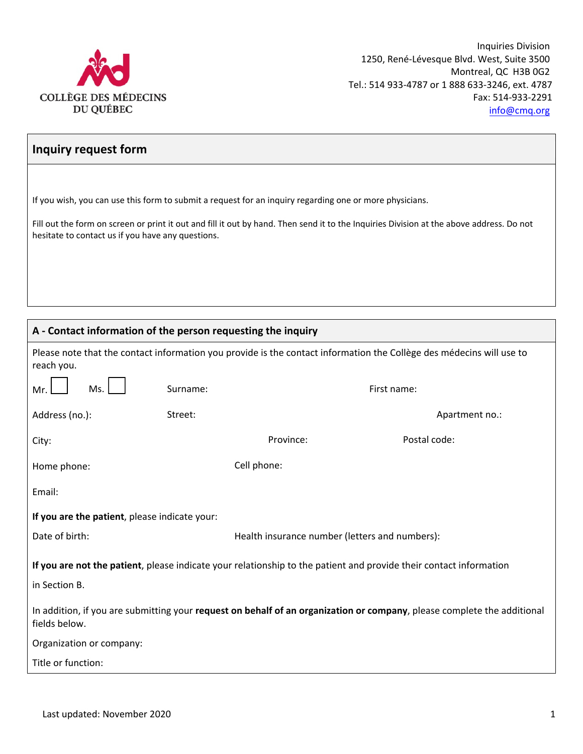

## **Inquiry request form**

If you wish, you can use this form to submit a request for an inquiry regarding one or more physicians.

Fill out the form on screen or print it out and fill it out by hand. Then send it to the Inquiries Division at the above address. Do not hesitate to contact us if you have any questions.

## **A - Contact information of the person requesting the inquiry**

|                                                                                                                                          | A - Contact information of the person requesting the inquiry |                                                |                |  |  |  |  |
|------------------------------------------------------------------------------------------------------------------------------------------|--------------------------------------------------------------|------------------------------------------------|----------------|--|--|--|--|
| Please note that the contact information you provide is the contact information the Collège des médecins will use to<br>reach you.       |                                                              |                                                |                |  |  |  |  |
| Mr.                                                                                                                                      | Surname:<br>Ms.                                              |                                                | First name:    |  |  |  |  |
| Address (no.):                                                                                                                           | Street:                                                      |                                                | Apartment no.: |  |  |  |  |
| City:                                                                                                                                    |                                                              | Province:                                      | Postal code:   |  |  |  |  |
| Home phone:                                                                                                                              |                                                              | Cell phone:                                    |                |  |  |  |  |
| Email:                                                                                                                                   |                                                              |                                                |                |  |  |  |  |
| If you are the patient, please indicate your:                                                                                            |                                                              |                                                |                |  |  |  |  |
| Date of birth:                                                                                                                           |                                                              | Health insurance number (letters and numbers): |                |  |  |  |  |
| If you are not the patient, please indicate your relationship to the patient and provide their contact information                       |                                                              |                                                |                |  |  |  |  |
| in Section B.                                                                                                                            |                                                              |                                                |                |  |  |  |  |
| In addition, if you are submitting your request on behalf of an organization or company, please complete the additional<br>fields below. |                                                              |                                                |                |  |  |  |  |
| Organization or company:                                                                                                                 |                                                              |                                                |                |  |  |  |  |

Title or function: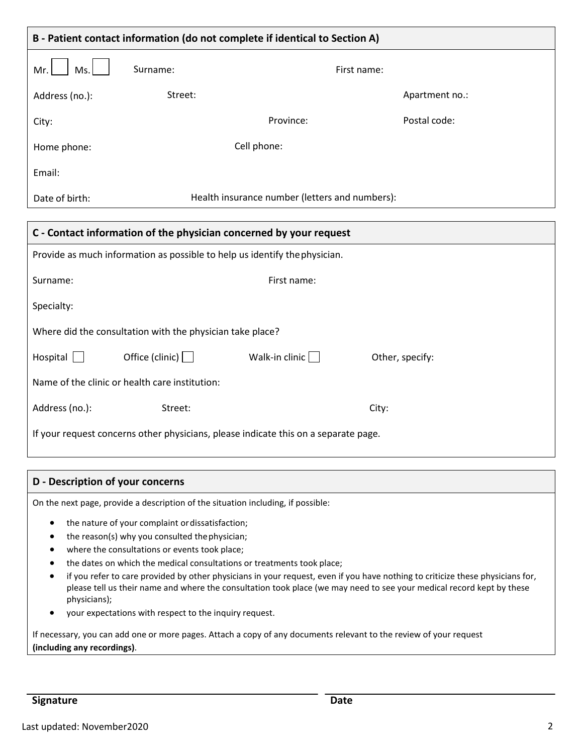| B - Patient contact information (do not complete if identical to Section A) |                                                |             |                |  |  |  |
|-----------------------------------------------------------------------------|------------------------------------------------|-------------|----------------|--|--|--|
| Mr.<br>Ms.                                                                  | Surname:                                       | First name: |                |  |  |  |
| Address (no.):                                                              | Street:                                        |             | Apartment no.: |  |  |  |
| City:                                                                       |                                                | Province:   | Postal code:   |  |  |  |
| Home phone:                                                                 |                                                | Cell phone: |                |  |  |  |
| Email:                                                                      |                                                |             |                |  |  |  |
| Date of birth:                                                              | Health insurance number (letters and numbers): |             |                |  |  |  |
|                                                                             |                                                |             |                |  |  |  |
| C - Contact information of the physician concerned by your request          |                                                |             |                |  |  |  |

| Provide as much information as possible to help us identify the physician.          |                        |                |                 |  |  |  |  |
|-------------------------------------------------------------------------------------|------------------------|----------------|-----------------|--|--|--|--|
| Surname:                                                                            |                        | First name:    |                 |  |  |  |  |
| Specialty:                                                                          |                        |                |                 |  |  |  |  |
| Where did the consultation with the physician take place?                           |                        |                |                 |  |  |  |  |
| Hospital                                                                            | Office (clinic) $\Box$ | Walk-in clinic | Other, specify: |  |  |  |  |
| Name of the clinic or health care institution:                                      |                        |                |                 |  |  |  |  |
| Address (no.):                                                                      | Street:                |                | City:           |  |  |  |  |
| If your request concerns other physicians, please indicate this on a separate page. |                        |                |                 |  |  |  |  |

## **D - Description of your concerns**

On the next page, provide a description of the situation including, if possible:

- the nature of your complaint ordissatisfaction;
- the reason(s) why you consulted thephysician;
- where the consultations or events took place;
- the dates on which the medical consultations or treatments took place;
- if you refer to care provided by other physicians in your request, even if you have nothing to criticize these physicians for, please tell us their name and where the consultation took place (we may need to see your medical record kept by these physicians);
- your expectations with respect to the inquiry request.

If necessary, you can add one or more pages. Attach a copy of any documents relevant to the review of your request **(including any recordings)**.